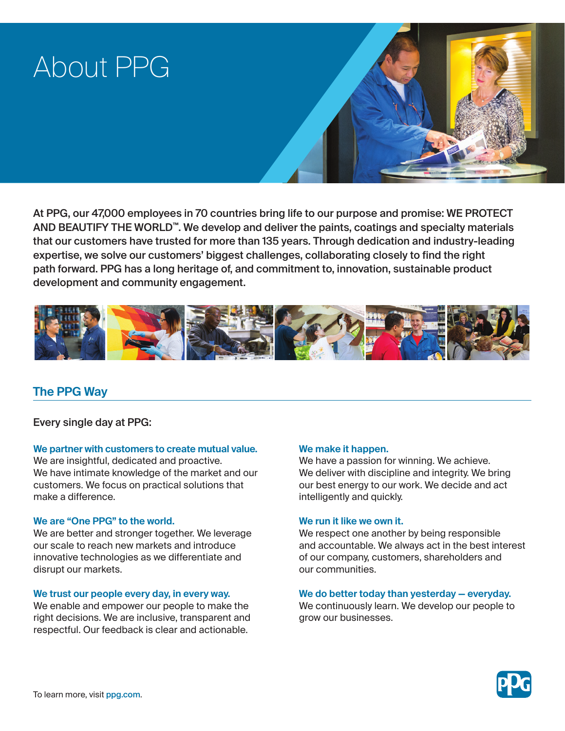# About PPG



At PPG, our 47,000 employees in 70 countries bring life to our purpose and promise: WE PROTECT AND BEAUTIFY THE WORLD™. We develop and deliver the paints, coatings and specialty materials that our customers have trusted for more than 135 years. Through dedication and industry-leading expertise, we solve our customers' biggest challenges, collaborating closely to find the right path forward. PPG has a long heritage of, and commitment to, innovation, sustainable product development and community engagement.



## **The PPG Way**

Every single day at PPG:

## **We partner with customers to create mutual value.**

We are insightful, dedicated and proactive. We have intimate knowledge of the market and our customers. We focus on practical solutions that make a difference.

## **We are "One PPG" to the world.**

We are better and stronger together. We leverage our scale to reach new markets and introduce innovative technologies as we differentiate and disrupt our markets.

## **We trust our people every day, in every way.**

We enable and empower our people to make the right decisions. We are inclusive, transparent and respectful. Our feedback is clear and actionable.

## **We make it happen.**

We have a passion for winning. We achieve. We deliver with discipline and integrity. We bring our best energy to our work. We decide and act intelligently and quickly.

## **We run it like we own it.**

We respect one another by being responsible and accountable. We always act in the best interest of our company, customers, shareholders and our communities.

## **We do better today than yesterday — everyday.**

We continuously learn. We develop our people to grow our businesses.